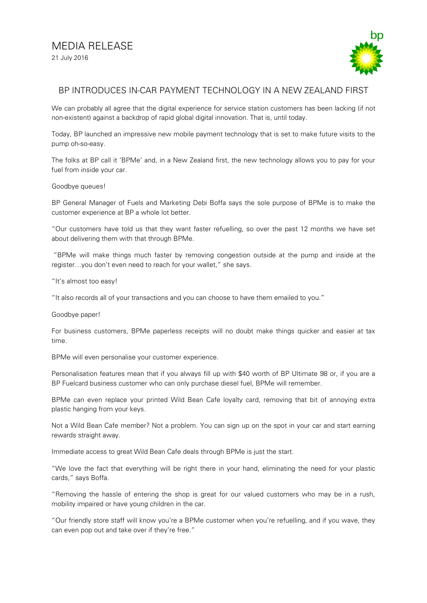

## BP INTRODUCES IN-CAR PAYMENT TECHNOLOGY IN A NEW ZEALAND FIRST

We can probably all agree that the digital experience for service station customers has been lacking (if not non-existent) against a backdrop of rapid global digital innovation. That is, until today.

Today, BP launched an impressive new mobile payment technology that is set to make future visits to the pump oh-so-easy.

The folks at BP call it 'BPMe' and, in a New Zealand first, the new technology allows you to pay for your fuel from inside your car.

## Goodbye queues!

BP General Manager of Fuels and Marketing Debi Boffa says the sole purpose of BPMe is to make the customer experience at BP a whole lot better.

"Our customers have told us that they want faster refuelling, so over the past 12 months we have set about delivering them with that through BPMe.

"BPMe will make things much faster by removing congestion outside at the pump and inside at the register…you don't even need to reach for your wallet," she says.

"It's almost too easy!

"It also records all of your transactions and you can choose to have them emailed to you."

Goodbye paper!

For business customers, BPMe paperless receipts will no doubt make things quicker and easier at tax time.

BPMe will even personalise your customer experience.

Personalisation features mean that if you always fill up with \$40 worth of BP Ultimate 98 or, if you are a BP Fuelcard business customer who can only purchase diesel fuel, BPMe will remember.

BPMe can even replace your printed Wild Bean Cafe loyalty card, removing that bit of annoying extra plastic hanging from your keys.

Not a Wild Bean Cafe member? Not a problem. You can sign up on the spot in your car and start earning rewards straight away.

Immediate access to great Wild Bean Cafe deals through BPMe is just the start.

"We love the fact that everything will be right there in your hand, eliminating the need for your plastic cards," says Boffa.

"Removing the hassle of entering the shop is great for our valued customers who may be in a rush, mobility impaired or have young children in the car.

"Our friendly store staff will know you're a BPMe customer when you're refuelling, and if you wave, they can even pop out and take over if they're free."